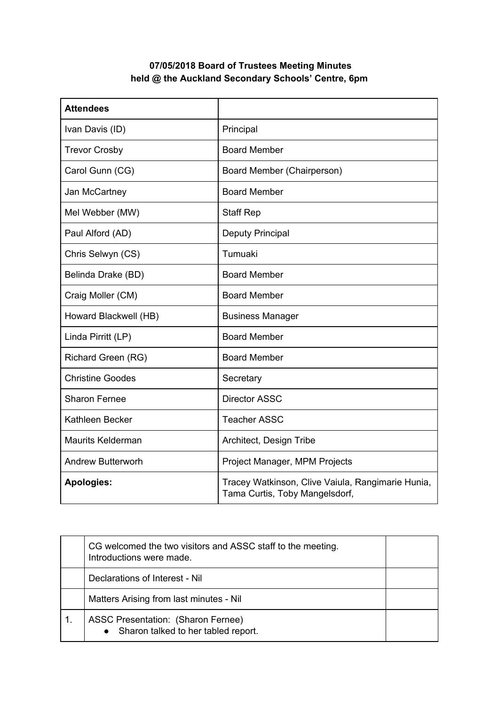## **07/05/2018 Board of Trustees Meeting Minutes held @ the Auckland Secondary Schools' Centre, 6pm**

| <b>Attendees</b>         |                                                                                     |
|--------------------------|-------------------------------------------------------------------------------------|
| Ivan Davis (ID)          | Principal                                                                           |
| <b>Trevor Crosby</b>     | <b>Board Member</b>                                                                 |
| Carol Gunn (CG)          | Board Member (Chairperson)                                                          |
| Jan McCartney            | <b>Board Member</b>                                                                 |
| Mel Webber (MW)          | <b>Staff Rep</b>                                                                    |
| Paul Alford (AD)         | <b>Deputy Principal</b>                                                             |
| Chris Selwyn (CS)        | Tumuaki                                                                             |
| Belinda Drake (BD)       | <b>Board Member</b>                                                                 |
| Craig Moller (CM)        | <b>Board Member</b>                                                                 |
| Howard Blackwell (HB)    | <b>Business Manager</b>                                                             |
| Linda Pirritt (LP)       | <b>Board Member</b>                                                                 |
| Richard Green (RG)       | <b>Board Member</b>                                                                 |
| <b>Christine Goodes</b>  | Secretary                                                                           |
| <b>Sharon Fernee</b>     | <b>Director ASSC</b>                                                                |
| Kathleen Becker          | <b>Teacher ASSC</b>                                                                 |
| <b>Maurits Kelderman</b> | Architect, Design Tribe                                                             |
| <b>Andrew Butterworh</b> | Project Manager, MPM Projects                                                       |
| <b>Apologies:</b>        | Tracey Watkinson, Clive Vaiula, Rangimarie Hunia,<br>Tama Curtis, Toby Mangelsdorf, |

| CG welcomed the two visitors and ASSC staff to the meeting.<br>Introductions were made. |  |
|-----------------------------------------------------------------------------------------|--|
| Declarations of Interest - Nil                                                          |  |
| Matters Arising from last minutes - Nil                                                 |  |
| <b>ASSC Presentation: (Sharon Fernee)</b><br>• Sharon talked to her tabled report.      |  |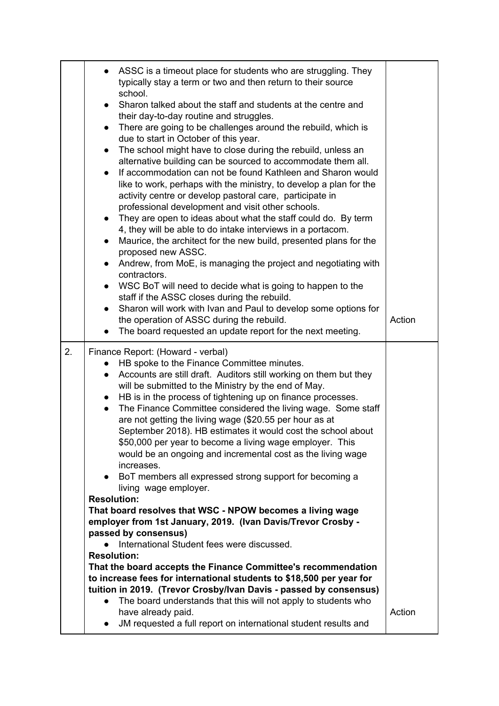|    | ASSC is a timeout place for students who are struggling. They<br>typically stay a term or two and then return to their source<br>school.<br>Sharon talked about the staff and students at the centre and<br>$\bullet$<br>their day-to-day routine and struggles.<br>There are going to be challenges around the rebuild, which is<br>$\bullet$<br>due to start in October of this year.<br>The school might have to close during the rebuild, unless an<br>$\bullet$<br>alternative building can be sourced to accommodate them all.<br>If accommodation can not be found Kathleen and Sharon would<br>$\bullet$<br>like to work, perhaps with the ministry, to develop a plan for the<br>activity centre or develop pastoral care, participate in<br>professional development and visit other schools.<br>They are open to ideas about what the staff could do. By term<br>$\bullet$<br>4, they will be able to do intake interviews in a portacom.<br>Maurice, the architect for the new build, presented plans for the<br>$\bullet$<br>proposed new ASSC.<br>Andrew, from MoE, is managing the project and negotiating with<br>$\bullet$<br>contractors.<br>WSC BoT will need to decide what is going to happen to the<br>$\bullet$<br>staff if the ASSC closes during the rebuild.<br>Sharon will work with Ivan and Paul to develop some options for<br>the operation of ASSC during the rebuild.<br>The board requested an update report for the next meeting.<br>$\bullet$ | Action |
|----|-----------------------------------------------------------------------------------------------------------------------------------------------------------------------------------------------------------------------------------------------------------------------------------------------------------------------------------------------------------------------------------------------------------------------------------------------------------------------------------------------------------------------------------------------------------------------------------------------------------------------------------------------------------------------------------------------------------------------------------------------------------------------------------------------------------------------------------------------------------------------------------------------------------------------------------------------------------------------------------------------------------------------------------------------------------------------------------------------------------------------------------------------------------------------------------------------------------------------------------------------------------------------------------------------------------------------------------------------------------------------------------------------------------------------------------------------------------------------------------|--------|
| 2. | Finance Report: (Howard - verbal)<br>HB spoke to the Finance Committee minutes.<br>Accounts are still draft. Auditors still working on them but they<br>$\bullet$<br>will be submitted to the Ministry by the end of May.<br>HB is in the process of tightening up on finance processes.<br>$\bullet$<br>The Finance Committee considered the living wage. Some staff<br>$\bullet$<br>are not getting the living wage (\$20.55 per hour as at<br>September 2018). HB estimates it would cost the school about<br>\$50,000 per year to become a living wage employer. This<br>would be an ongoing and incremental cost as the living wage<br>increases.<br>BoT members all expressed strong support for becoming a<br>$\bullet$<br>living wage employer.<br><b>Resolution:</b><br>That board resolves that WSC - NPOW becomes a living wage<br>employer from 1st January, 2019. (Ivan Davis/Trevor Crosby -<br>passed by consensus)<br>International Student fees were discussed.<br><b>Resolution:</b><br>That the board accepts the Finance Committee's recommendation<br>to increase fees for international students to \$18,500 per year for<br>tuition in 2019. (Trevor Crosby/Ivan Davis - passed by consensus)<br>The board understands that this will not apply to students who<br>have already paid.<br>JM requested a full report on international student results and<br>$\bullet$                                                                                      | Action |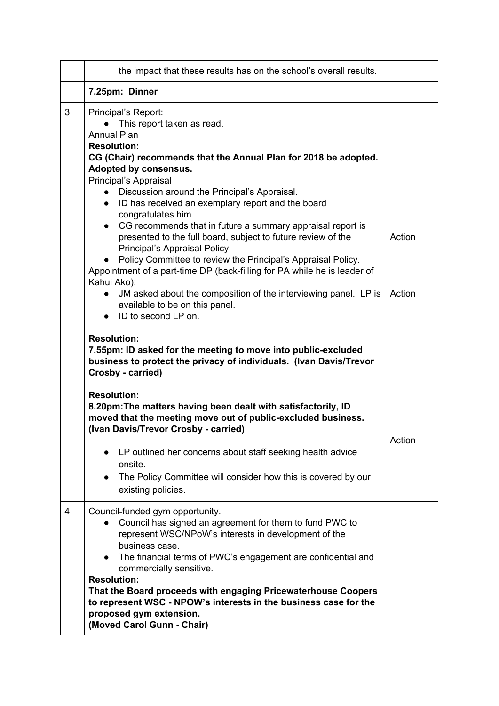|    | the impact that these results has on the school's overall results.                                                                                                                                                                                                                                                                                                                                                                                                                    |        |
|----|---------------------------------------------------------------------------------------------------------------------------------------------------------------------------------------------------------------------------------------------------------------------------------------------------------------------------------------------------------------------------------------------------------------------------------------------------------------------------------------|--------|
|    | 7.25pm: Dinner                                                                                                                                                                                                                                                                                                                                                                                                                                                                        |        |
| 3. | Principal's Report:<br>This report taken as read.<br>$\bullet$<br><b>Annual Plan</b><br><b>Resolution:</b><br>CG (Chair) recommends that the Annual Plan for 2018 be adopted.                                                                                                                                                                                                                                                                                                         |        |
|    | Adopted by consensus.<br>Principal's Appraisal<br>• Discussion around the Principal's Appraisal.<br>• ID has received an exemplary report and the board<br>congratulates him.<br>• CG recommends that in future a summary appraisal report is<br>presented to the full board, subject to future review of the                                                                                                                                                                         | Action |
|    | Principal's Appraisal Policy.<br>Policy Committee to review the Principal's Appraisal Policy.<br>$\bullet$<br>Appointment of a part-time DP (back-filling for PA while he is leader of<br>Kahui Ako):<br>JM asked about the composition of the interviewing panel. LP is<br>available to be on this panel.<br>$\bullet$ ID to second LP on.                                                                                                                                           | Action |
|    | <b>Resolution:</b><br>7.55pm: ID asked for the meeting to move into public-excluded<br>business to protect the privacy of individuals. (Ivan Davis/Trevor<br>Crosby - carried)                                                                                                                                                                                                                                                                                                        |        |
|    | <b>Resolution:</b><br>8.20pm: The matters having been dealt with satisfactorily, ID<br>moved that the meeting move out of public-excluded business.<br>(Ivan Davis/Trevor Crosby - carried)                                                                                                                                                                                                                                                                                           | Action |
|    | LP outlined her concerns about staff seeking health advice<br>$\bullet$<br>onsite.<br>The Policy Committee will consider how this is covered by our<br>$\bullet$<br>existing policies.                                                                                                                                                                                                                                                                                                |        |
| 4. | Council-funded gym opportunity.<br>Council has signed an agreement for them to fund PWC to<br>represent WSC/NPoW's interests in development of the<br>business case.<br>• The financial terms of PWC's engagement are confidential and<br>commercially sensitive.<br><b>Resolution:</b><br>That the Board proceeds with engaging Pricewaterhouse Coopers<br>to represent WSC - NPOW's interests in the business case for the<br>proposed gym extension.<br>(Moved Carol Gunn - Chair) |        |